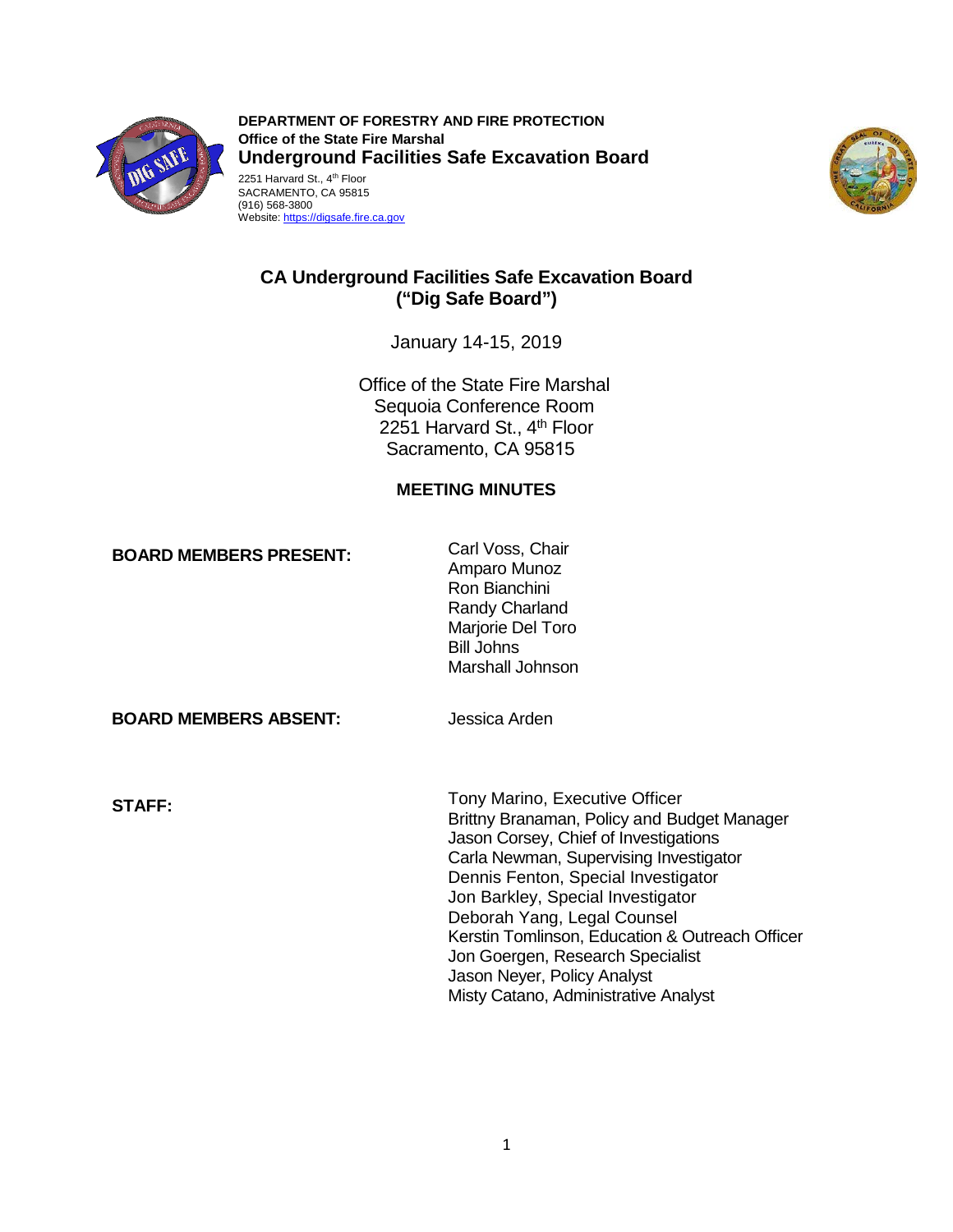

**DEPARTMENT OF FORESTRY AND FIRE PROTECTION Office of the State Fire Marshal Underground Facilities Safe Excavation Board**  2251 Harvard St., 4<sup>th</sup> Floor SACRAMENTO, CA 95815





# **CA Underground Facilities Safe Excavation Board ("Dig Safe Board")**

January 14-15, 2019

Office of the State Fire Marshal Sequoia Conference Room 2251 Harvard St., 4<sup>th</sup> Floor Sacramento, CA 95815

# **MEETING MINUTES**

**BOARD MEMBERS PRESENT:** Carl Voss, Chair

Amparo Munoz Ron Bianchini Randy Charland Marjorie Del Toro Bill Johns Marshall Johnson

**BOARD MEMBERS ABSENT:** Jessica Arden

Tony Marino, Executive Officer **STAFF:**  Brittny Branaman, Policy and Budget Manager Jason Corsey, Chief of Investigations Carla Newman, Supervising Investigator Dennis Fenton, Special Investigator Jon Barkley, Special Investigator Deborah Yang, Legal Counsel Kerstin Tomlinson, Education & Outreach Officer Jon Goergen, Research Specialist Jason Neyer, Policy Analyst Misty Catano, Administrative Analyst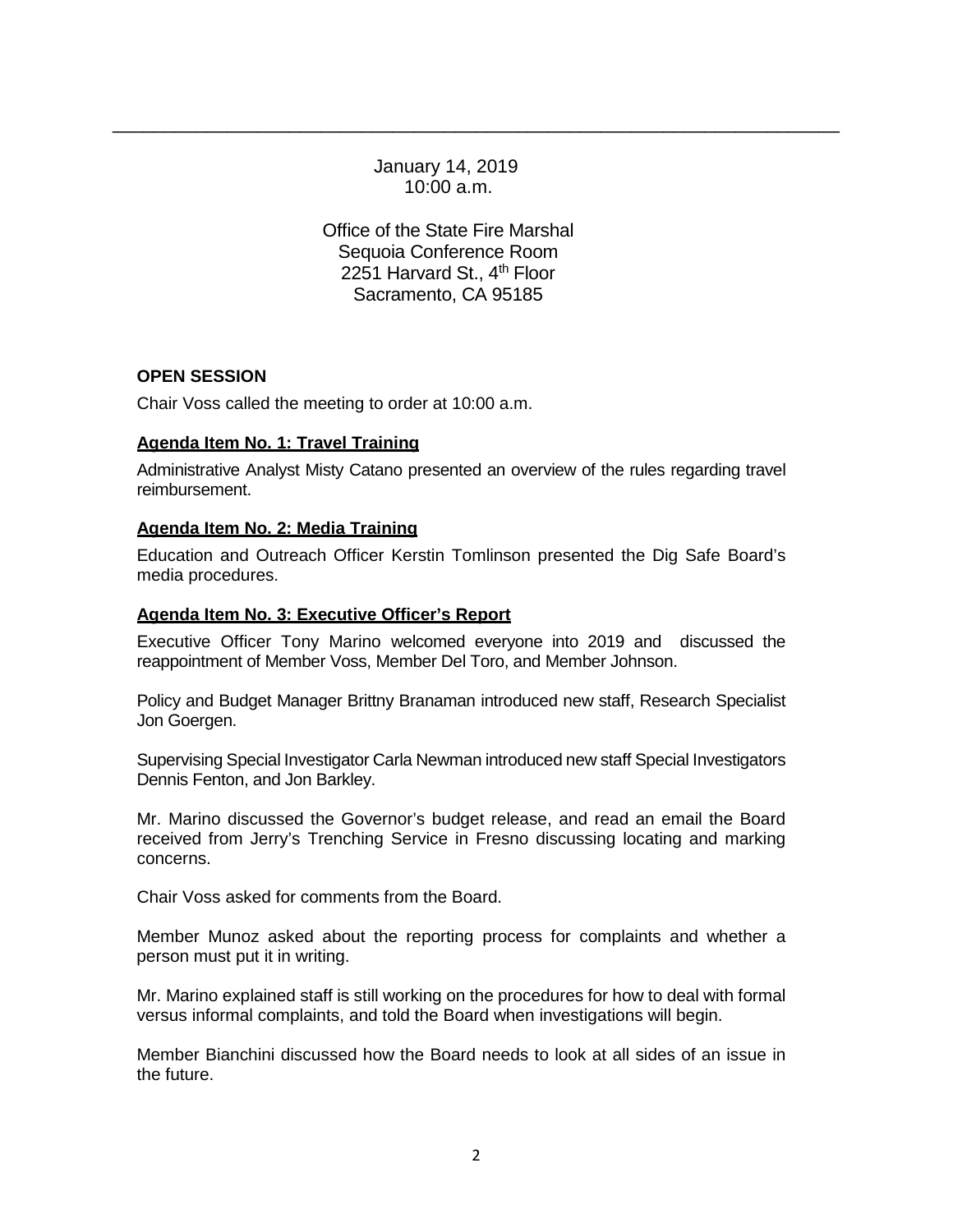January 14, 2019 10:00 a.m.

\_\_\_\_\_\_\_\_\_\_\_\_\_\_\_\_\_\_\_\_\_\_\_\_\_\_\_\_\_\_\_\_\_\_\_\_\_\_\_\_\_\_\_\_\_\_\_\_\_\_\_\_\_\_\_\_\_\_\_\_\_\_\_\_\_\_\_\_\_\_

Office of the State Fire Marshal Sequoia Conference Room 2251 Harvard St., 4<sup>th</sup> Floor Sacramento, CA 95185

# **OPEN SESSION**

Chair Voss called the meeting to order at 10:00 a.m.

# **Agenda Item No. 1: Travel Training**

Administrative Analyst Misty Catano presented an overview of the rules regarding travel reimbursement.

### **Agenda Item No. 2: Media Training**

Education and Outreach Officer Kerstin Tomlinson presented the Dig Safe Board's media procedures.

### **Agenda Item No. 3: Executive Officer's Report**

Executive Officer Tony Marino welcomed everyone into 2019 and discussed the reappointment of Member Voss, Member Del Toro, and Member Johnson.

Policy and Budget Manager Brittny Branaman introduced new staff, Research Specialist Jon Goergen.

Supervising Special Investigator Carla Newman introduced new staff Special Investigators Dennis Fenton, and Jon Barkley.

Mr. Marino discussed the Governor's budget release, and read an email the Board received from Jerry's Trenching Service in Fresno discussing locating and marking concerns.

Chair Voss asked for comments from the Board.

Member Munoz asked about the reporting process for complaints and whether a person must put it in writing.

Mr. Marino explained staff is still working on the procedures for how to deal with formal versus informal complaints, and told the Board when investigations will begin.

Member Bianchini discussed how the Board needs to look at all sides of an issue in the future.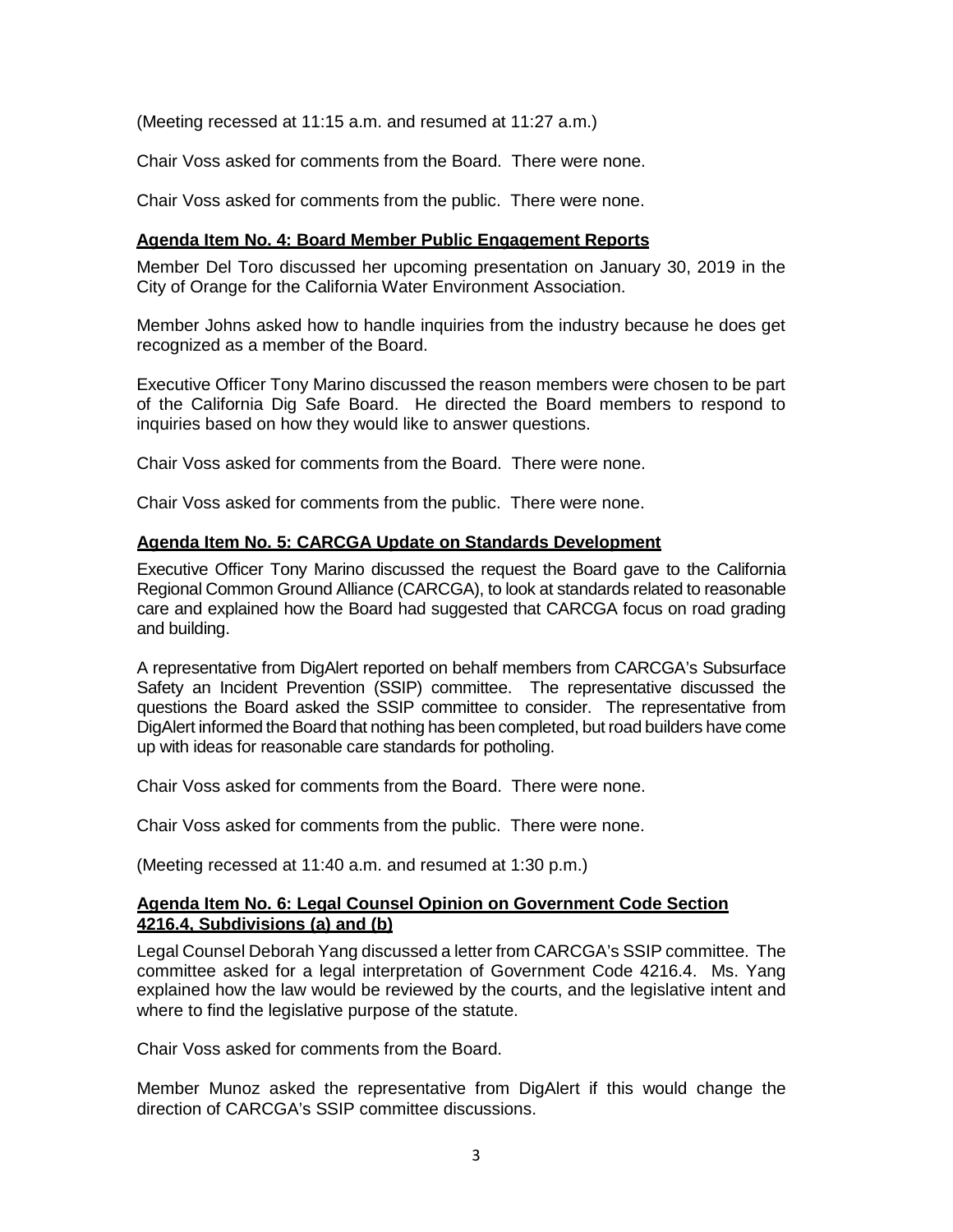(Meeting recessed at 11:15 a.m. and resumed at 11:27 a.m.)

Chair Voss asked for comments from the Board. There were none.

Chair Voss asked for comments from the public. There were none.

### **Agenda Item No. 4: Board Member Public Engagement Reports**

Member Del Toro discussed her upcoming presentation on January 30, 2019 in the City of Orange for the California Water Environment Association.

Member Johns asked how to handle inquiries from the industry because he does get recognized as a member of the Board.

Executive Officer Tony Marino discussed the reason members were chosen to be part of the California Dig Safe Board. He directed the Board members to respond to inquiries based on how they would like to answer questions.

Chair Voss asked for comments from the Board. There were none.

Chair Voss asked for comments from the public. There were none.

### **Agenda Item No. 5: CARCGA Update on Standards Development**

Executive Officer Tony Marino discussed the request the Board gave to the California Regional Common Ground Alliance (CARCGA), to look at standards related to reasonable care and explained how the Board had suggested that CARCGA focus on road grading and building.

A representative from DigAlert reported on behalf members from CARCGA's Subsurface Safety an Incident Prevention (SSIP) committee. The representative discussed the questions the Board asked the SSIP committee to consider. The representative from DigAlert informed the Board that nothing has been completed, but road builders have come up with ideas for reasonable care standards for potholing.

Chair Voss asked for comments from the Board. There were none.

Chair Voss asked for comments from the public. There were none.

(Meeting recessed at 11:40 a.m. and resumed at 1:30 p.m.)

### **Agenda Item No. 6: Legal Counsel Opinion on Government Code Section 4216.4, Subdivisions (a) and (b)**

Legal Counsel Deborah Yang discussed a letter from CARCGA's SSIP committee. The committee asked for a legal interpretation of Government Code 4216.4. Ms. Yang explained how the law would be reviewed by the courts, and the legislative intent and where to find the legislative purpose of the statute.

Chair Voss asked for comments from the Board.

Member Munoz asked the representative from DigAlert if this would change the direction of CARCGA's SSIP committee discussions.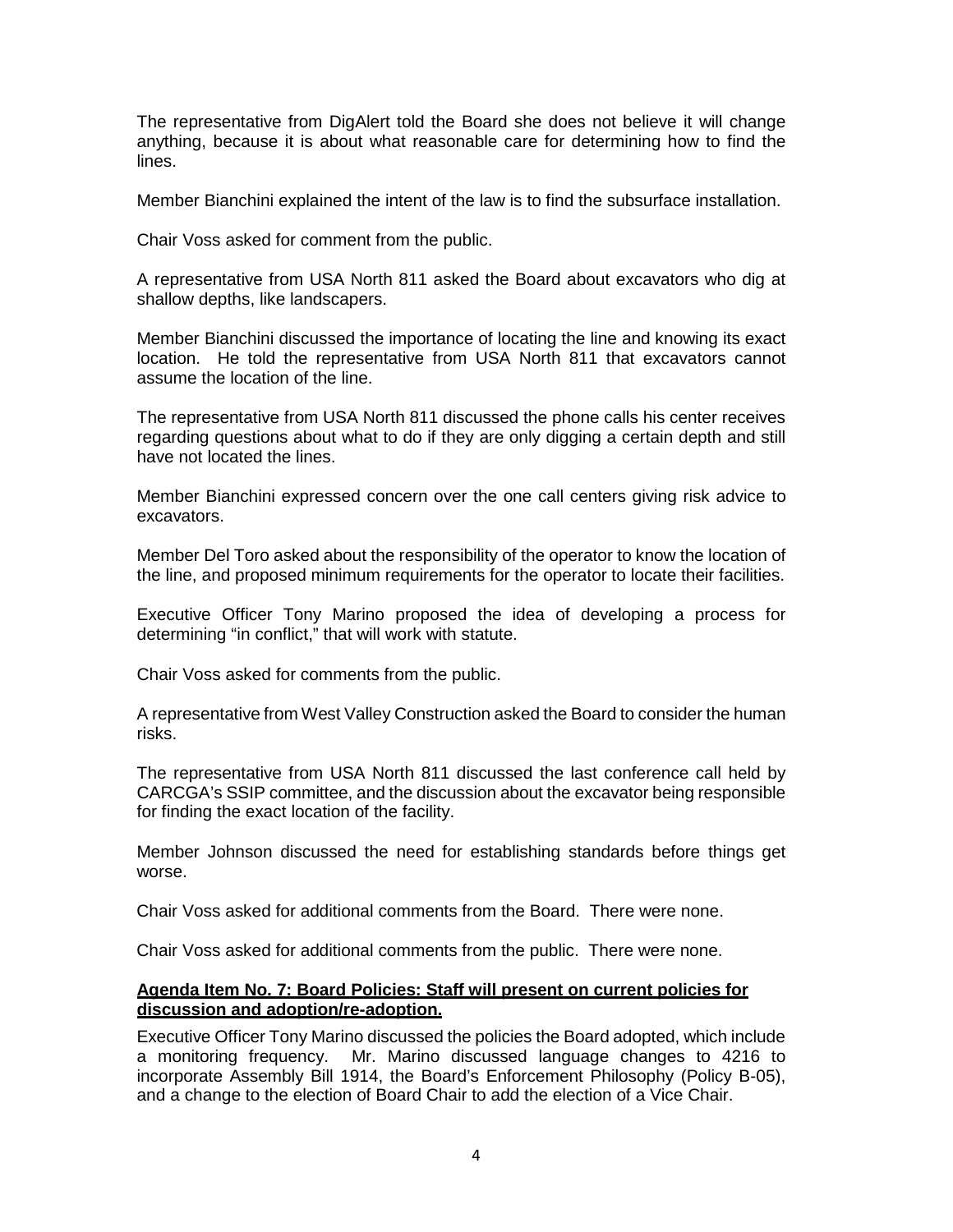The representative from DigAlert told the Board she does not believe it will change anything, because it is about what reasonable care for determining how to find the lines.

Member Bianchini explained the intent of the law is to find the subsurface installation.

Chair Voss asked for comment from the public.

A representative from USA North 811 asked the Board about excavators who dig at shallow depths, like landscapers.

Member Bianchini discussed the importance of locating the line and knowing its exact location. He told the representative from USA North 811 that excavators cannot assume the location of the line.

The representative from USA North 811 discussed the phone calls his center receives regarding questions about what to do if they are only digging a certain depth and still have not located the lines.

Member Bianchini expressed concern over the one call centers giving risk advice to excavators.

Member Del Toro asked about the responsibility of the operator to know the location of the line, and proposed minimum requirements for the operator to locate their facilities.

Executive Officer Tony Marino proposed the idea of developing a process for determining "in conflict," that will work with statute.

Chair Voss asked for comments from the public.

A representative from West Valley Construction asked the Board to consider the human risks.

The representative from USA North 811 discussed the last conference call held by CARCGA's SSIP committee, and the discussion about the excavator being responsible for finding the exact location of the facility.

Member Johnson discussed the need for establishing standards before things get worse.

Chair Voss asked for additional comments from the Board. There were none.

Chair Voss asked for additional comments from the public. There were none.

### **Agenda Item No. 7: Board Policies: Staff will present on current policies for discussion and adoption/re-adoption.**

Executive Officer Tony Marino discussed the policies the Board adopted, which include a monitoring frequency. Mr. Marino discussed language changes to 4216 to incorporate Assembly Bill 1914, the Board's Enforcement Philosophy (Policy B-05), and a change to the election of Board Chair to add the election of a Vice Chair.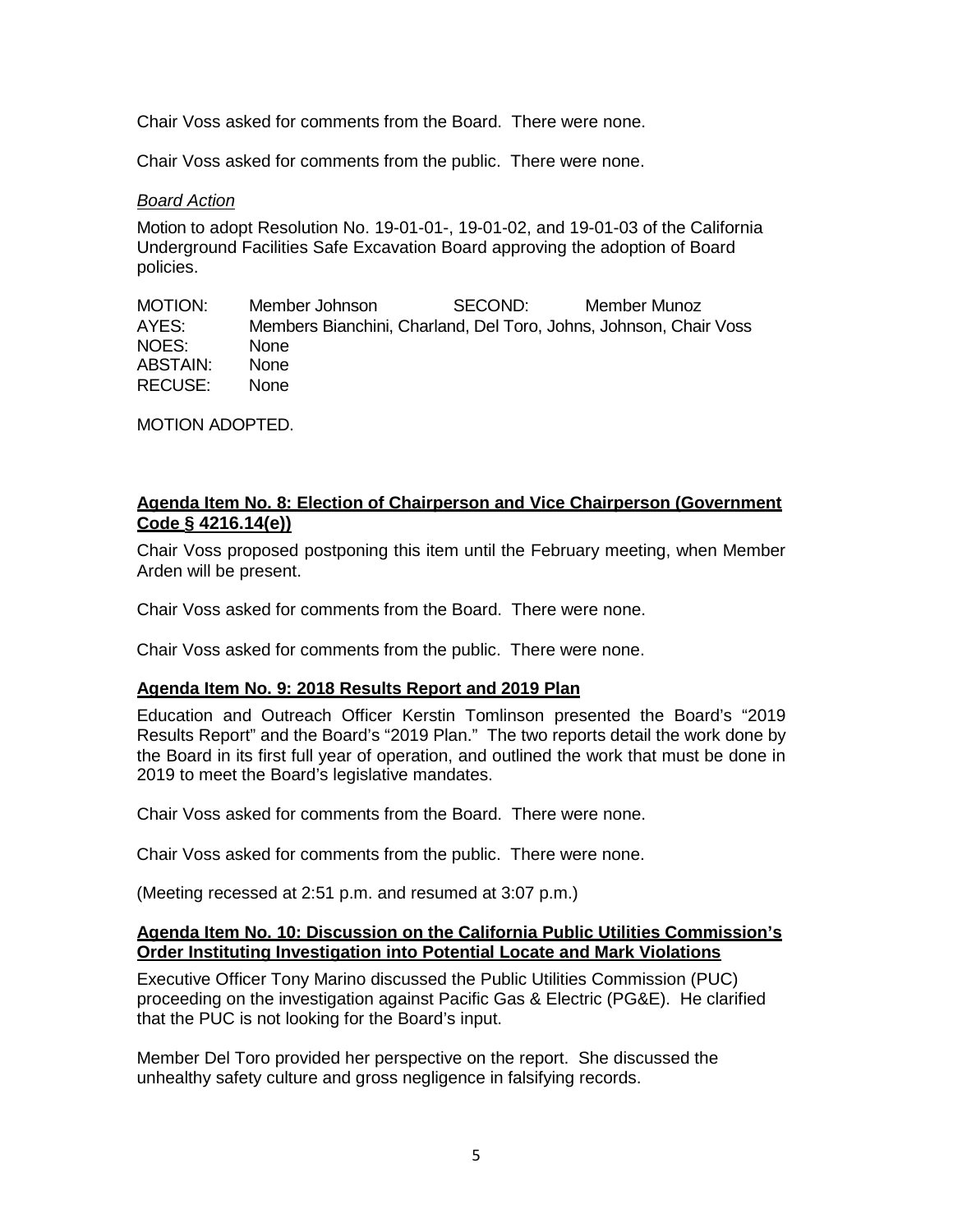Chair Voss asked for comments from the Board. There were none.

Chair Voss asked for comments from the public. There were none.

### *Board Action*

Motion to adopt Resolution No. 19-01-01-, 19-01-02, and 19-01-03 of the California Underground Facilities Safe Excavation Board approving the adoption of Board policies.

MOTION: Member Johnson SECOND: Member Munoz Members Bianchini, Charland, Del Toro, Johns, Johnson, Chair Voss NOES: None ABSTAIN: None RECUSE: None

MOTION ADOPTED.

# **Agenda Item No. 8: Election of Chairperson and Vice Chairperson (Government Code § 4216.14(e))**

Chair Voss proposed postponing this item until the February meeting, when Member Arden will be present.

Chair Voss asked for comments from the Board. There were none.

Chair Voss asked for comments from the public. There were none.

# **Agenda Item No. 9: 2018 Results Report and 2019 Plan**

Education and Outreach Officer Kerstin Tomlinson presented the Board's "2019 Results Report" and the Board's "2019 Plan." The two reports detail the work done by the Board in its first full year of operation, and outlined the work that must be done in 2019 to meet the Board's legislative mandates.

Chair Voss asked for comments from the Board. There were none.

Chair Voss asked for comments from the public. There were none.

(Meeting recessed at 2:51 p.m. and resumed at 3:07 p.m.)

#### **Agenda Item No. 10: Discussion on the California Public Utilities Commission's Order Instituting Investigation into Potential Locate and Mark Violations**

Executive Officer Tony Marino discussed the Public Utilities Commission (PUC) proceeding on the investigation against Pacific Gas & Electric (PG&E). He clarified that the PUC is not looking for the Board's input.

Member Del Toro provided her perspective on the report. She discussed the unhealthy safety culture and gross negligence in falsifying records.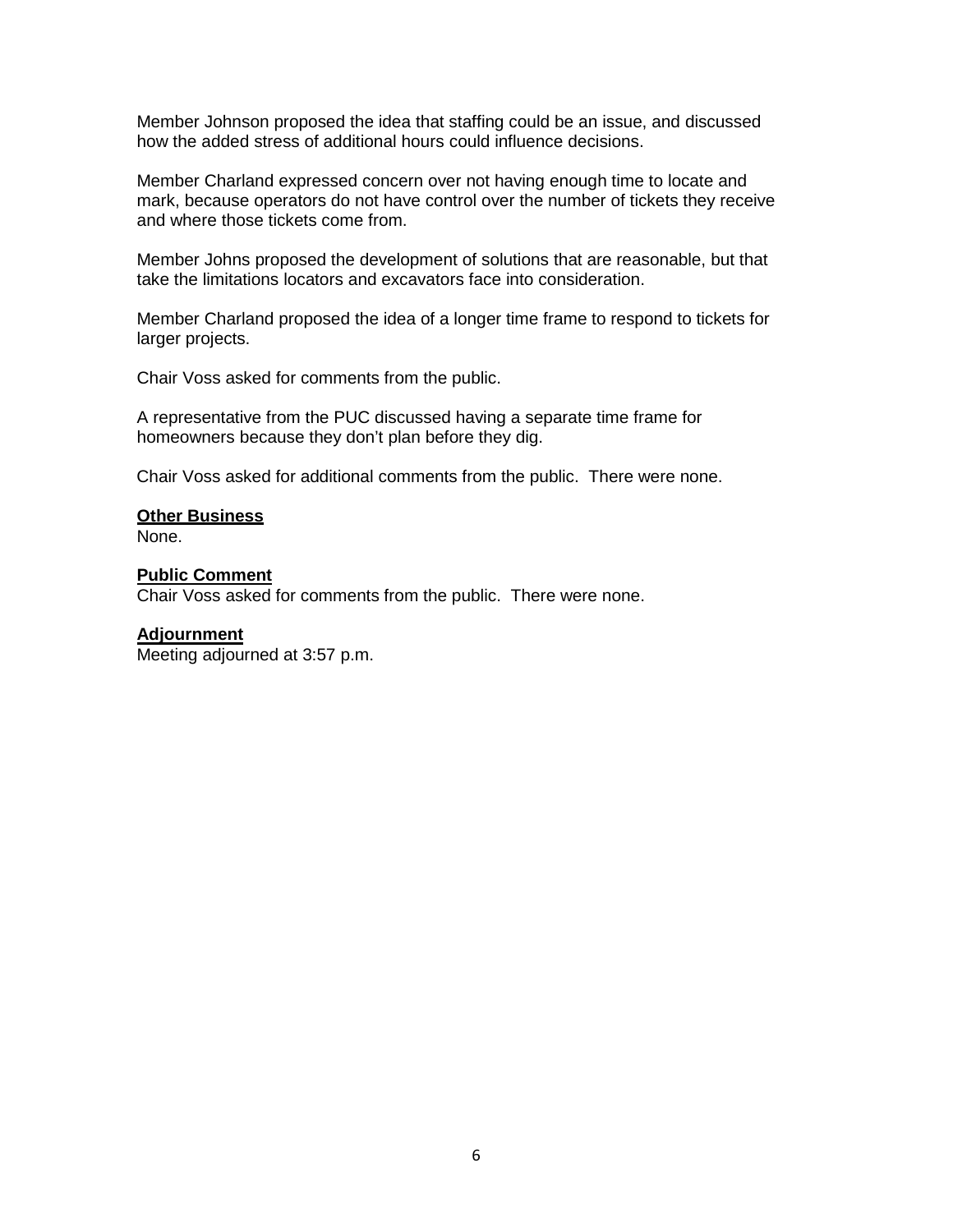Member Johnson proposed the idea that staffing could be an issue, and discussed how the added stress of additional hours could influence decisions.

Member Charland expressed concern over not having enough time to locate and mark, because operators do not have control over the number of tickets they receive and where those tickets come from.

Member Johns proposed the development of solutions that are reasonable, but that take the limitations locators and excavators face into consideration.

Member Charland proposed the idea of a longer time frame to respond to tickets for larger projects.

Chair Voss asked for comments from the public.

A representative from the PUC discussed having a separate time frame for homeowners because they don't plan before they dig.

Chair Voss asked for additional comments from the public. There were none.

**Other Business** 

None.

#### **Public Comment**

Chair Voss asked for comments from the public. There were none.

#### **Adjournment**

Meeting adjourned at 3:57 p.m.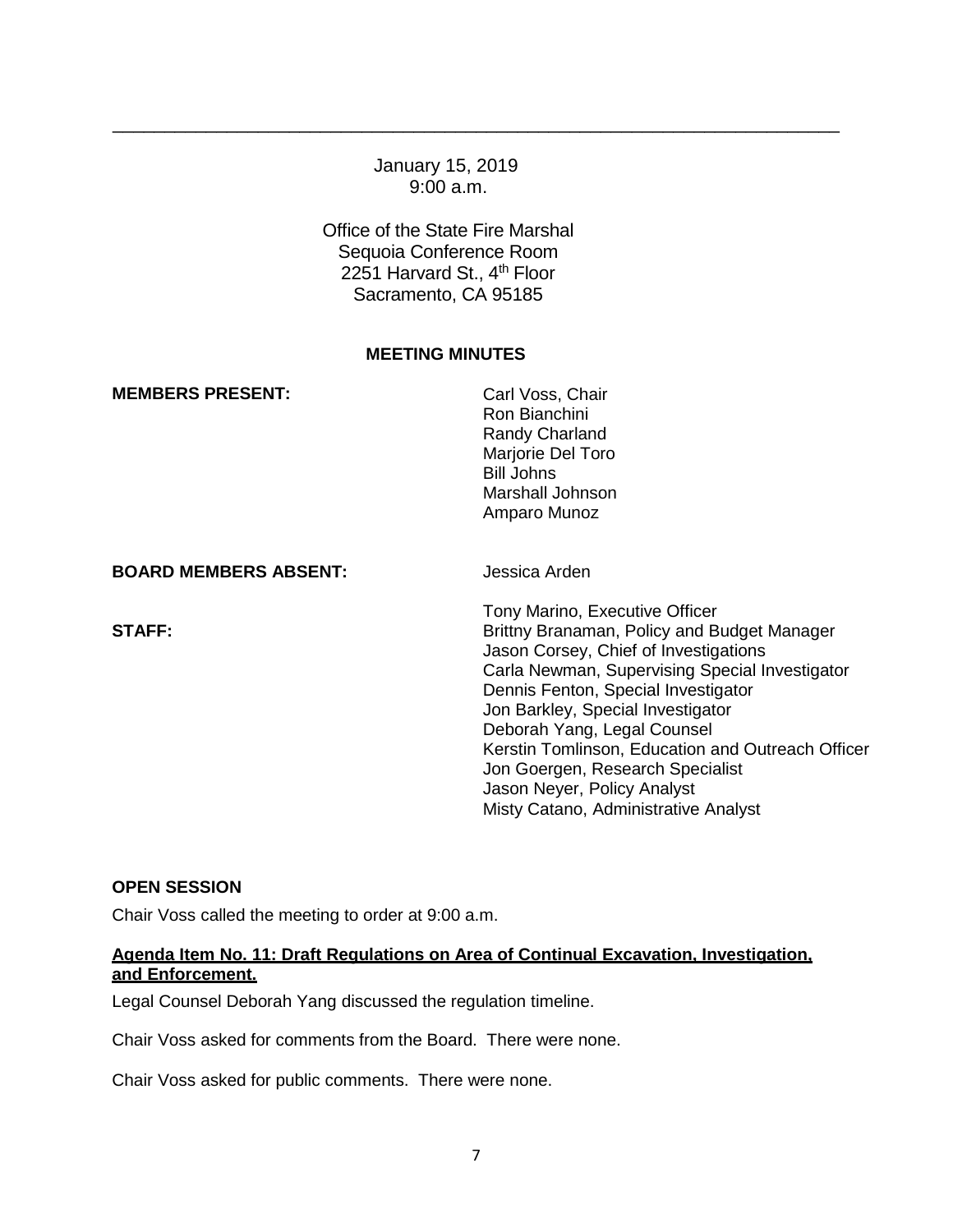# January 15, 2019 9:00 a.m.

\_\_\_\_\_\_\_\_\_\_\_\_\_\_\_\_\_\_\_\_\_\_\_\_\_\_\_\_\_\_\_\_\_\_\_\_\_\_\_\_\_\_\_\_\_\_\_\_\_\_\_\_\_\_\_\_\_\_\_\_\_\_\_\_\_\_\_\_\_\_

Office of the State Fire Marshal Sequoia Conference Room 2251 Harvard St., 4<sup>th</sup> Floor Sacramento, CA 95185

### **MEETING MINUTES**

| <b>MEMBERS PRESENT:</b>      | Carl Voss, Chair<br>Ron Bianchini<br>Randy Charland<br>Marjorie Del Toro<br><b>Bill Johns</b><br>Marshall Johnson<br>Amparo Munoz                                                                                                                                                                                                                                                                                                                   |
|------------------------------|-----------------------------------------------------------------------------------------------------------------------------------------------------------------------------------------------------------------------------------------------------------------------------------------------------------------------------------------------------------------------------------------------------------------------------------------------------|
| <b>BOARD MEMBERS ABSENT:</b> | Jessica Arden                                                                                                                                                                                                                                                                                                                                                                                                                                       |
| <b>STAFF:</b>                | Tony Marino, Executive Officer<br>Brittny Branaman, Policy and Budget Manager<br>Jason Corsey, Chief of Investigations<br>Carla Newman, Supervising Special Investigator<br>Dennis Fenton, Special Investigator<br>Jon Barkley, Special Investigator<br>Deborah Yang, Legal Counsel<br>Kerstin Tomlinson, Education and Outreach Officer<br>Jon Goergen, Research Specialist<br>Jason Neyer, Policy Analyst<br>Misty Catano, Administrative Analyst |

# **OPEN SESSION**

Chair Voss called the meeting to order at 9:00 a.m.

# **Agenda Item No. 11: Draft Regulations on Area of Continual Excavation, Investigation, and Enforcement.**

Legal Counsel Deborah Yang discussed the regulation timeline.

Chair Voss asked for comments from the Board. There were none.

Chair Voss asked for public comments. There were none.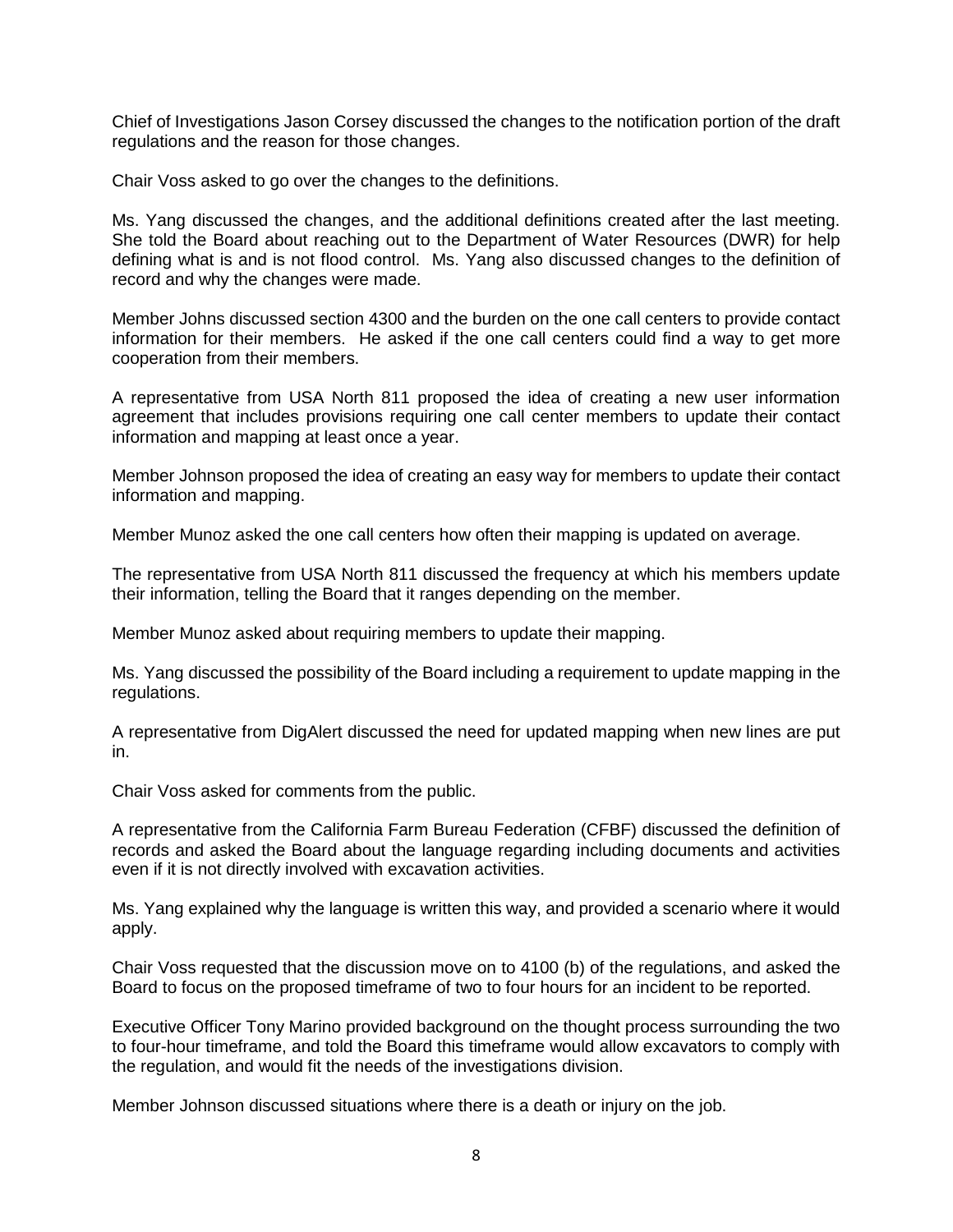Chief of Investigations Jason Corsey discussed the changes to the notification portion of the draft regulations and the reason for those changes.

Chair Voss asked to go over the changes to the definitions.

Ms. Yang discussed the changes, and the additional definitions created after the last meeting. She told the Board about reaching out to the Department of Water Resources (DWR) for help defining what is and is not flood control. Ms. Yang also discussed changes to the definition of record and why the changes were made.

Member Johns discussed section 4300 and the burden on the one call centers to provide contact information for their members. He asked if the one call centers could find a way to get more cooperation from their members.

A representative from USA North 811 proposed the idea of creating a new user information agreement that includes provisions requiring one call center members to update their contact information and mapping at least once a year.

Member Johnson proposed the idea of creating an easy way for members to update their contact information and mapping.

Member Munoz asked the one call centers how often their mapping is updated on average.

The representative from USA North 811 discussed the frequency at which his members update their information, telling the Board that it ranges depending on the member.

Member Munoz asked about requiring members to update their mapping.

Ms. Yang discussed the possibility of the Board including a requirement to update mapping in the regulations.

A representative from DigAlert discussed the need for updated mapping when new lines are put in.

Chair Voss asked for comments from the public.

A representative from the California Farm Bureau Federation (CFBF) discussed the definition of records and asked the Board about the language regarding including documents and activities even if it is not directly involved with excavation activities.

Ms. Yang explained why the language is written this way, and provided a scenario where it would apply.

Chair Voss requested that the discussion move on to 4100 (b) of the regulations, and asked the Board to focus on the proposed timeframe of two to four hours for an incident to be reported.

Executive Officer Tony Marino provided background on the thought process surrounding the two to four-hour timeframe, and told the Board this timeframe would allow excavators to comply with the regulation, and would fit the needs of the investigations division.

Member Johnson discussed situations where there is a death or injury on the job.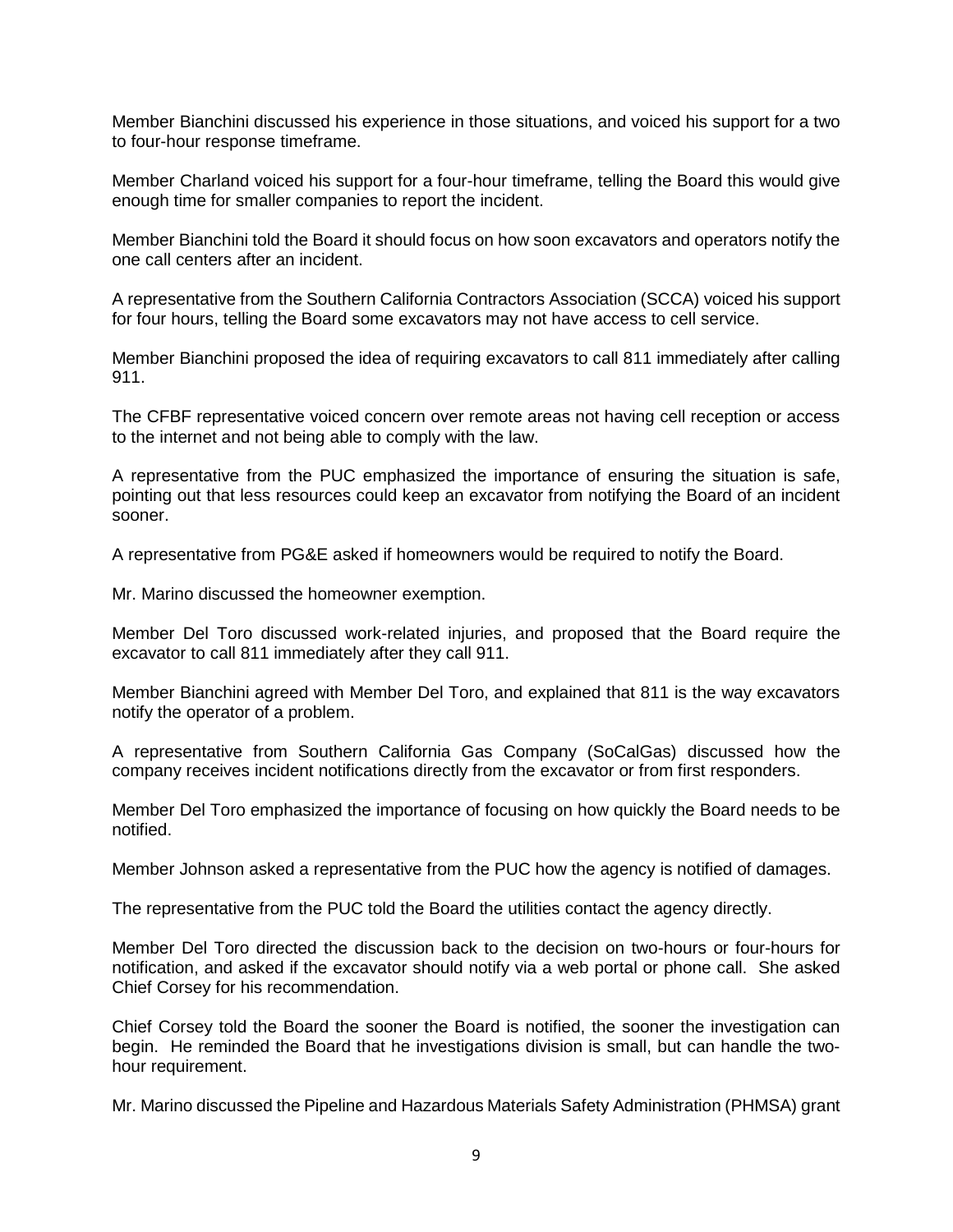Member Bianchini discussed his experience in those situations, and voiced his support for a two to four-hour response timeframe.

Member Charland voiced his support for a four-hour timeframe, telling the Board this would give enough time for smaller companies to report the incident.

Member Bianchini told the Board it should focus on how soon excavators and operators notify the one call centers after an incident.

A representative from the Southern California Contractors Association (SCCA) voiced his support for four hours, telling the Board some excavators may not have access to cell service.

Member Bianchini proposed the idea of requiring excavators to call 811 immediately after calling 911.

The CFBF representative voiced concern over remote areas not having cell reception or access to the internet and not being able to comply with the law.

A representative from the PUC emphasized the importance of ensuring the situation is safe, pointing out that less resources could keep an excavator from notifying the Board of an incident sooner.

A representative from PG&E asked if homeowners would be required to notify the Board.

Mr. Marino discussed the homeowner exemption.

Member Del Toro discussed work-related injuries, and proposed that the Board require the excavator to call 811 immediately after they call 911.

Member Bianchini agreed with Member Del Toro, and explained that 811 is the way excavators notify the operator of a problem.

A representative from Southern California Gas Company (SoCalGas) discussed how the company receives incident notifications directly from the excavator or from first responders.

Member Del Toro emphasized the importance of focusing on how quickly the Board needs to be notified.

Member Johnson asked a representative from the PUC how the agency is notified of damages.

The representative from the PUC told the Board the utilities contact the agency directly.

Member Del Toro directed the discussion back to the decision on two-hours or four-hours for notification, and asked if the excavator should notify via a web portal or phone call. She asked Chief Corsey for his recommendation.

Chief Corsey told the Board the sooner the Board is notified, the sooner the investigation can begin. He reminded the Board that he investigations division is small, but can handle the twohour requirement.

Mr. Marino discussed the Pipeline and Hazardous Materials Safety Administration (PHMSA) grant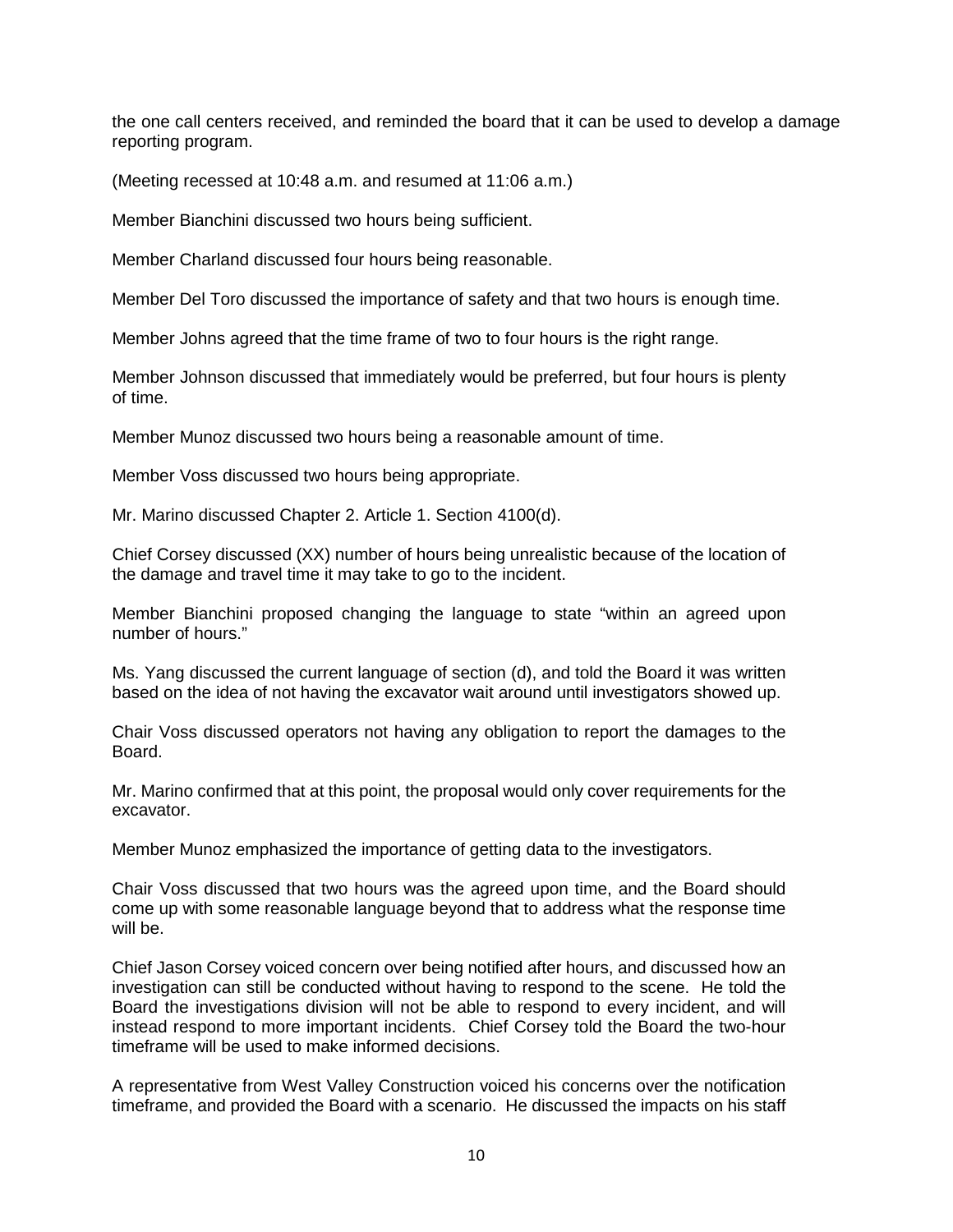the one call centers received, and reminded the board that it can be used to develop a damage reporting program.

(Meeting recessed at 10:48 a.m. and resumed at 11:06 a.m.)

Member Bianchini discussed two hours being sufficient.

Member Charland discussed four hours being reasonable.

Member Del Toro discussed the importance of safety and that two hours is enough time.

Member Johns agreed that the time frame of two to four hours is the right range.

Member Johnson discussed that immediately would be preferred, but four hours is plenty of time.

Member Munoz discussed two hours being a reasonable amount of time.

Member Voss discussed two hours being appropriate.

Mr. Marino discussed Chapter 2. Article 1. Section 4100(d).

Chief Corsey discussed (XX) number of hours being unrealistic because of the location of the damage and travel time it may take to go to the incident.

Member Bianchini proposed changing the language to state "within an agreed upon number of hours."

Ms. Yang discussed the current language of section (d), and told the Board it was written based on the idea of not having the excavator wait around until investigators showed up.

Chair Voss discussed operators not having any obligation to report the damages to the Board.

Mr. Marino confirmed that at this point, the proposal would only cover requirements for the excavator.

Member Munoz emphasized the importance of getting data to the investigators.

Chair Voss discussed that two hours was the agreed upon time, and the Board should come up with some reasonable language beyond that to address what the response time will be.

Chief Jason Corsey voiced concern over being notified after hours, and discussed how an investigation can still be conducted without having to respond to the scene. He told the Board the investigations division will not be able to respond to every incident, and will instead respond to more important incidents. Chief Corsey told the Board the two-hour timeframe will be used to make informed decisions.

A representative from West Valley Construction voiced his concerns over the notification timeframe, and provided the Board with a scenario. He discussed the impacts on his staff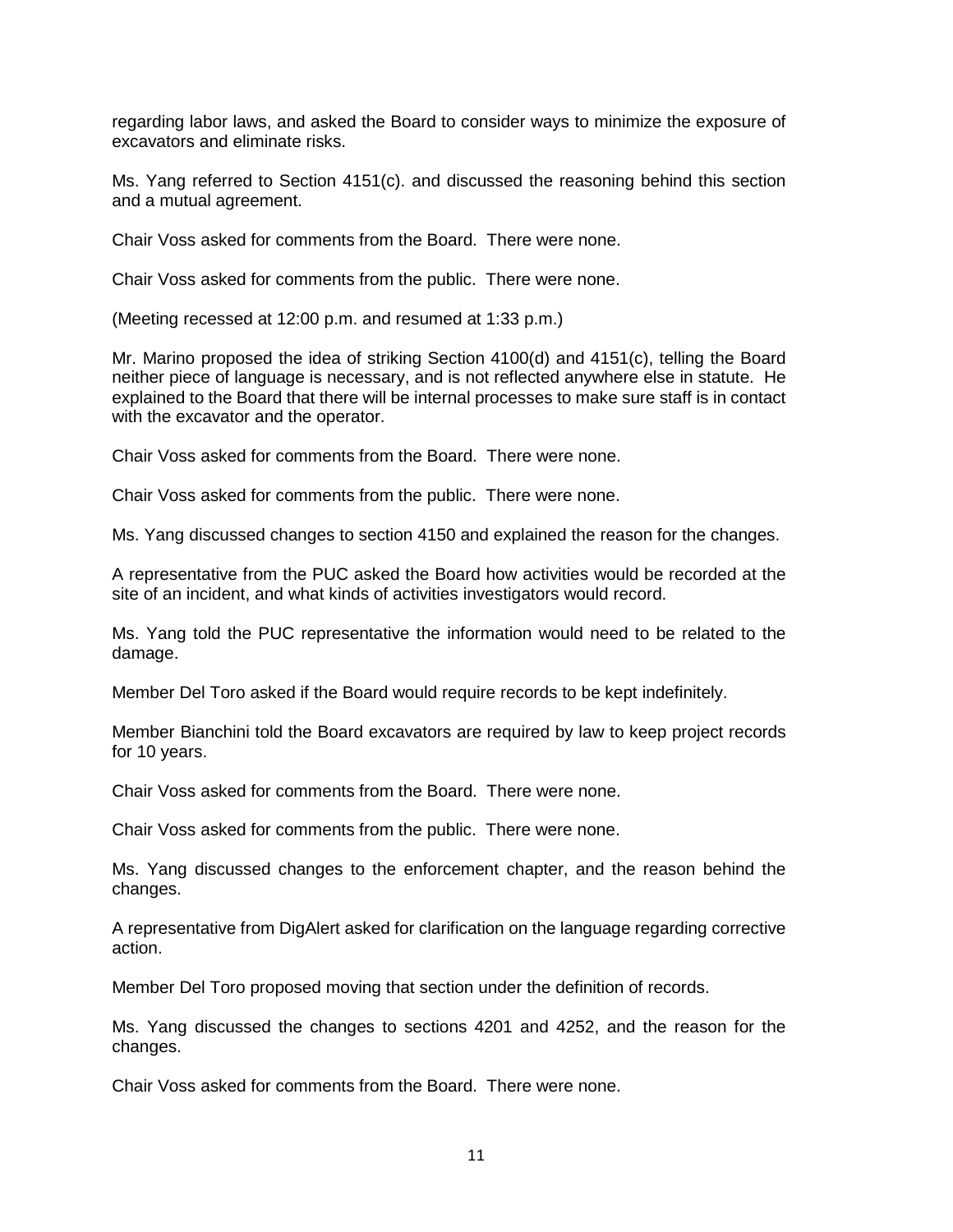regarding labor laws, and asked the Board to consider ways to minimize the exposure of excavators and eliminate risks.

Ms. Yang referred to Section 4151(c). and discussed the reasoning behind this section and a mutual agreement.

Chair Voss asked for comments from the Board. There were none.

Chair Voss asked for comments from the public. There were none.

(Meeting recessed at 12:00 p.m. and resumed at 1:33 p.m.)

Mr. Marino proposed the idea of striking Section 4100(d) and 4151(c), telling the Board neither piece of language is necessary, and is not reflected anywhere else in statute. He explained to the Board that there will be internal processes to make sure staff is in contact with the excavator and the operator.

Chair Voss asked for comments from the Board. There were none.

Chair Voss asked for comments from the public. There were none.

Ms. Yang discussed changes to section 4150 and explained the reason for the changes.

A representative from the PUC asked the Board how activities would be recorded at the site of an incident, and what kinds of activities investigators would record.

Ms. Yang told the PUC representative the information would need to be related to the damage.

Member Del Toro asked if the Board would require records to be kept indefinitely.

Member Bianchini told the Board excavators are required by law to keep project records for 10 years.

Chair Voss asked for comments from the Board. There were none.

Chair Voss asked for comments from the public. There were none.

Ms. Yang discussed changes to the enforcement chapter, and the reason behind the changes.

A representative from DigAlert asked for clarification on the language regarding corrective action.

Member Del Toro proposed moving that section under the definition of records.

Ms. Yang discussed the changes to sections 4201 and 4252, and the reason for the changes.

Chair Voss asked for comments from the Board. There were none.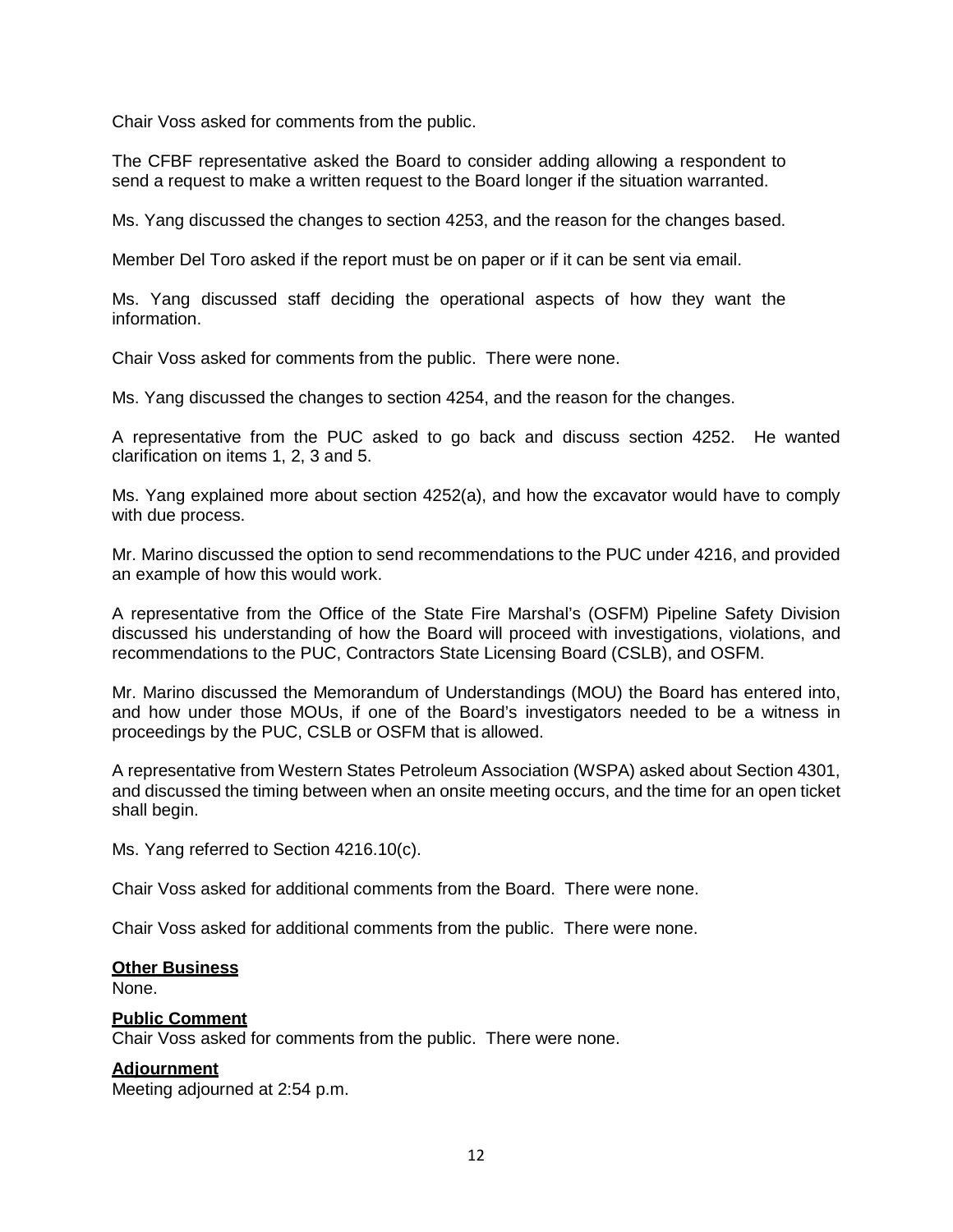Chair Voss asked for comments from the public.

The CFBF representative asked the Board to consider adding allowing a respondent to send a request to make a written request to the Board longer if the situation warranted.

Ms. Yang discussed the changes to section 4253, and the reason for the changes based.

Member Del Toro asked if the report must be on paper or if it can be sent via email.

Ms. Yang discussed staff deciding the operational aspects of how they want the information.

Chair Voss asked for comments from the public. There were none.

Ms. Yang discussed the changes to section 4254, and the reason for the changes.

A representative from the PUC asked to go back and discuss section 4252. He wanted clarification on items 1, 2, 3 and 5.

Ms. Yang explained more about section 4252(a), and how the excavator would have to comply with due process.

Mr. Marino discussed the option to send recommendations to the PUC under 4216, and provided an example of how this would work.

A representative from the Office of the State Fire Marshal's (OSFM) Pipeline Safety Division discussed his understanding of how the Board will proceed with investigations, violations, and recommendations to the PUC, Contractors State Licensing Board (CSLB), and OSFM.

Mr. Marino discussed the Memorandum of Understandings (MOU) the Board has entered into, and how under those MOUs, if one of the Board's investigators needed to be a witness in proceedings by the PUC, CSLB or OSFM that is allowed.

A representative from Western States Petroleum Association (WSPA) asked about Section 4301, and discussed the timing between when an onsite meeting occurs, and the time for an open ticket shall begin.

Ms. Yang referred to Section 4216.10(c).

Chair Voss asked for additional comments from the Board. There were none.

Chair Voss asked for additional comments from the public. There were none.

#### **Other Business**

None.

# **Public Comment**

Chair Voss asked for comments from the public. There were none.

#### **Adjournment**

Meeting adjourned at 2:54 p.m.